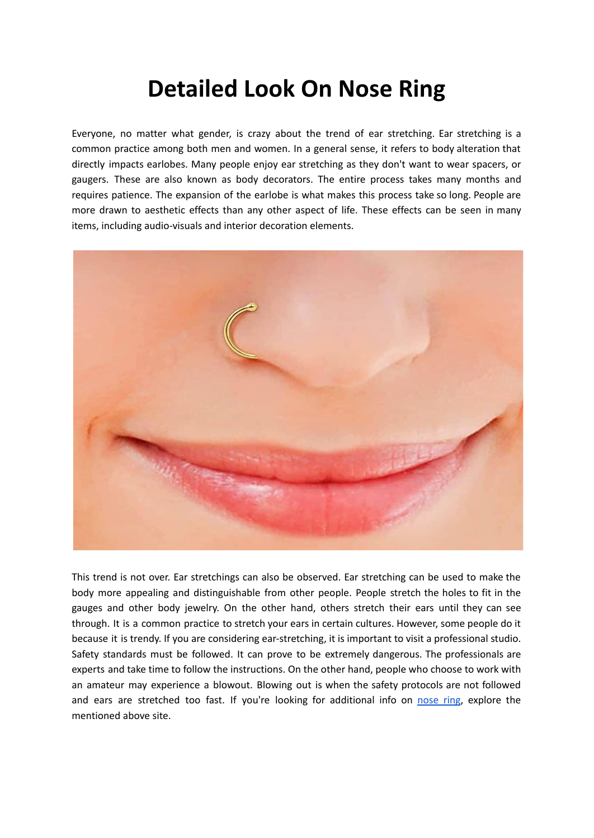## **Detailed Look On Nose Ring**

Everyone, no matter what gender, is crazy about the trend of ear stretching. Ear stretching is a common practice among both men and women. In a general sense, it refers to body alteration that directly impacts earlobes. Many people enjoy ear stretching as they don't want to wear spacers, or gaugers. These are also known as body decorators. The entire process takes many months and requires patience. The expansion of the earlobe is what makes this process take so long. People are more drawn to aesthetic effects than any other aspect of life. These effects can be seen in many items, including audio-visuals and interior decoration elements.



This trend is not over. Ear stretchings can also be observed. Ear stretching can be used to make the body more appealing and distinguishable from other people. People stretch the holes to fit in the gauges and other body jewelry. On the other hand, others stretch their ears until they can see through. It is a common practice to stretch your ears in certain cultures. However, some people do it because it is trendy. If you are considering ear-stretching, it is important to visit a professional studio. Safety standards must be followed. It can prove to be extremely dangerous. The professionals are experts and take time to follow the instructions. On the other hand, people who choose to work with an amateur may experience a blowout. Blowing out is when the safety protocols are not followed and ears are stretched too fast. If you're looking for additional info on [nose](https://www.stretchitbodyjewellery.co.uk/collections/nose-piercing) ring, explore the mentioned above site.